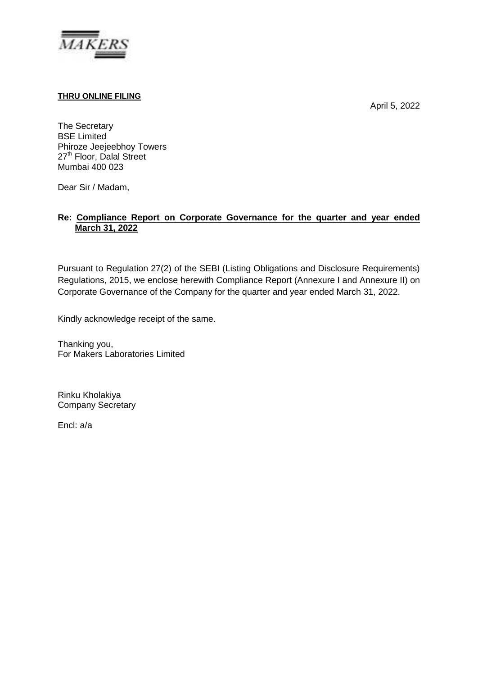

## **THRU ONLINE FILING**

April 5, 2022

The Secretary BSE Limited Phiroze Jeejeebhoy Towers 27<sup>th</sup> Floor, Dalal Street Mumbai 400 023

Dear Sir / Madam,

# **Re: Compliance Report on Corporate Governance for the quarter and year ended March 31, 2022**

Pursuant to Regulation 27(2) of the SEBI (Listing Obligations and Disclosure Requirements) Regulations, 2015, we enclose herewith Compliance Report (Annexure I and Annexure II) on Corporate Governance of the Company for the quarter and year ended March 31, 2022.

Kindly acknowledge receipt of the same.

Thanking you, For Makers Laboratories Limited

Rinku Kholakiya Company Secretary

Encl: a/a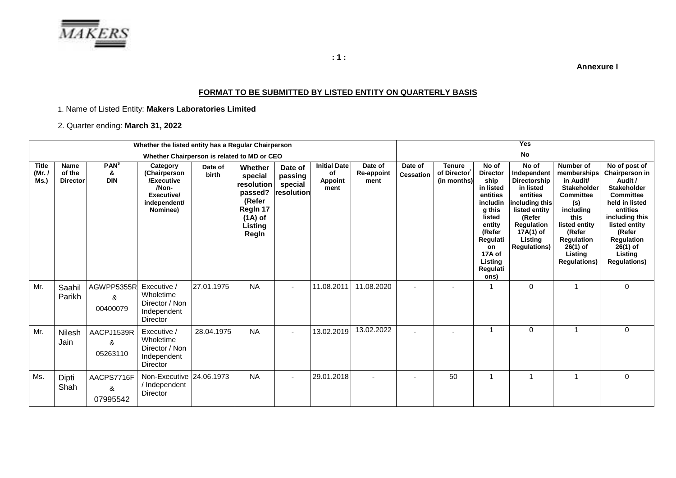

**Annexure I**

# **FORMAT TO BE SUBMITTED BY LISTED ENTITY ON QUARTERLY BASIS**

### 1. Name of Listed Entity: **Makers Laboratories Limited**

# 2. Quarter ending: **March 31, 2022**

|                                | Whether the listed entity has a Regular Chairperson |                                            |                                                                                           |                  |                                                                                                    |                                             | <b>Yes</b>                                          |                                      |                             |                                      |                                                                                                                                                                          |                                                                                                                                                                         |                                                                                                                                                                                                           |                                                                                                                                                                                                                               |
|--------------------------------|-----------------------------------------------------|--------------------------------------------|-------------------------------------------------------------------------------------------|------------------|----------------------------------------------------------------------------------------------------|---------------------------------------------|-----------------------------------------------------|--------------------------------------|-----------------------------|--------------------------------------|--------------------------------------------------------------------------------------------------------------------------------------------------------------------------|-------------------------------------------------------------------------------------------------------------------------------------------------------------------------|-----------------------------------------------------------------------------------------------------------------------------------------------------------------------------------------------------------|-------------------------------------------------------------------------------------------------------------------------------------------------------------------------------------------------------------------------------|
|                                |                                                     |                                            | Whether Chairperson is related to MD or CEO                                               |                  |                                                                                                    |                                             |                                                     |                                      | No                          |                                      |                                                                                                                                                                          |                                                                                                                                                                         |                                                                                                                                                                                                           |                                                                                                                                                                                                                               |
| <b>Title</b><br>(Mr. /<br>Ms.) | <b>Name</b><br>of the<br><b>Director</b>            | <b>PAN</b> <sup>5</sup><br>&<br><b>DIN</b> | Category<br>(Chairperson<br>/Executive<br>/Non-<br>Executive/<br>independent/<br>Nominee) | Date of<br>birth | Whether<br>special<br>resolution<br>passed?<br>(Refer<br>Regin 17<br>$(1A)$ of<br>Listing<br>Regin | Date of<br>passing<br>special<br>resolution | <b>Initial Date</b><br>оf<br><b>Appoint</b><br>ment | Date of<br><b>Re-appoint</b><br>ment | Date of<br><b>Cessation</b> | Tenure<br>of Director<br>(in months) | No of<br><b>Director</b><br>ship<br>in listed<br>entities<br>includin<br>g this<br>listed<br>entity<br>(Refer<br>Regulati<br>on<br>17A of<br>Listing<br>Regulati<br>ons) | No of<br>Independent<br>Directorship<br>in listed<br>entities<br>including this<br>listed entity<br>(Refer<br>Regulation<br>17A(1) of<br>Listing<br><b>Regulations)</b> | Number of<br>memberships<br>in Audit/<br><b>Stakeholder</b><br><b>Committee</b><br>(s)<br>including<br>this<br>listed entity<br>(Refer<br><b>Regulation</b><br>26(1) of<br>Listing<br><b>Regulations)</b> | No of post of<br>Chairperson in<br>Audit /<br><b>Stakeholder</b><br><b>Committee</b><br>held in listed<br>entities<br>including this<br>listed entity<br>(Refer<br>Regulation<br>$26(1)$ of<br>Listing<br><b>Regulations)</b> |
| Mr.                            | Saahil<br>Parikh                                    | AGWPP5355R<br>&<br>00400079                | Executive /<br>Wholetime<br>Director / Non<br>Independent<br><b>Director</b>              | 27.01.1975       | <b>NA</b>                                                                                          | $\blacksquare$                              | 11.08.2011                                          | 11.08.2020                           |                             |                                      |                                                                                                                                                                          | $\Omega$                                                                                                                                                                |                                                                                                                                                                                                           | $\Omega$                                                                                                                                                                                                                      |
| Mr.                            | Nilesh<br>Jain                                      | AACPJ1539R<br>&<br>05263110                | Executive /<br>Wholetime<br>Director / Non<br>Independent<br>Director                     | 28.04.1975       | <b>NA</b>                                                                                          | $\overline{\phantom{a}}$                    | 13.02.2019                                          | 13.02.2022                           |                             |                                      |                                                                                                                                                                          | $\Omega$                                                                                                                                                                |                                                                                                                                                                                                           | 0                                                                                                                                                                                                                             |
| Ms.                            | Dipti<br>Shah                                       | AACPS7716F<br>&<br>07995542                | Non-Executive 24.06.1973<br>/ Independent<br>Director                                     |                  | <b>NA</b>                                                                                          | $\blacksquare$                              | 29.01.2018                                          |                                      | $\overline{\phantom{a}}$    | 50                                   |                                                                                                                                                                          |                                                                                                                                                                         |                                                                                                                                                                                                           | $\Omega$                                                                                                                                                                                                                      |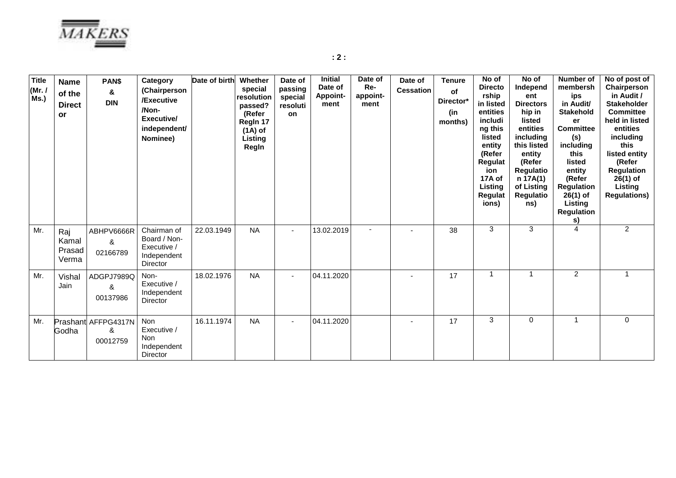

**: 2 :**

| <b>Title</b><br>(Mr. 1)<br>Ms.) | <b>Name</b><br>of the<br><b>Direct</b><br>or | PAN\$<br>&<br><b>DIN</b>             | Category<br>(Chairperson<br>/Executive<br>/Non-<br>Executive/<br>independent/<br>Nominee) | Date of birth | Whether<br>special<br>resolution<br>passed?<br>(Refer<br>Regin 17<br>$(1A)$ of<br>Listing<br>Regin | Date of<br>passing<br>special<br>resoluti<br>on | <b>Initial</b><br>Date of<br><b>Appoint-</b><br>ment | Date of<br>Re-<br>appoint-<br>ment | Date of<br><b>Cessation</b> | <b>Tenure</b><br>of<br>Director*<br>(in<br>months) | No of<br><b>Directo</b><br>rship<br>in listed<br>entities<br>includi<br>ng this<br>listed<br>entity<br>(Refer<br>Regulat<br>ion<br>17A of<br>Listing<br><b>Regulat</b><br>ions) | No of<br>Independ<br>ent<br><b>Directors</b><br>hip in<br>listed<br>entities<br>including<br>this listed<br>entity<br>(Refer<br><b>Regulatio</b><br>n 17A(1)<br>of Listing<br><b>Regulatio</b><br>ns) | <b>Number of</b><br>membersh<br>ips<br>in Audit/<br><b>Stakehold</b><br>er<br><b>Committee</b><br>(s)<br>including<br>this<br>listed<br>entity<br>(Refer<br><b>Regulation</b><br>$26(1)$ of<br>Listing<br><b>Regulation</b><br>s) | No of post of<br>Chairperson<br>in Audit /<br><b>Stakeholder</b><br><b>Committee</b><br>held in listed<br>entities<br>including<br>this<br>listed entity<br>(Refer<br><b>Regulation</b><br>26(1) of<br>Listing<br><b>Regulations)</b> |
|---------------------------------|----------------------------------------------|--------------------------------------|-------------------------------------------------------------------------------------------|---------------|----------------------------------------------------------------------------------------------------|-------------------------------------------------|------------------------------------------------------|------------------------------------|-----------------------------|----------------------------------------------------|---------------------------------------------------------------------------------------------------------------------------------------------------------------------------------|-------------------------------------------------------------------------------------------------------------------------------------------------------------------------------------------------------|-----------------------------------------------------------------------------------------------------------------------------------------------------------------------------------------------------------------------------------|---------------------------------------------------------------------------------------------------------------------------------------------------------------------------------------------------------------------------------------|
| Mr.                             | Raj<br>Kamal<br>Prasad<br>Verma              | ABHPV6666R<br>&<br>02166789          | Chairman of<br>Board / Non-<br>Executive /<br>Independent<br>Director                     | 22.03.1949    | <b>NA</b>                                                                                          |                                                 | 13.02.2019                                           |                                    |                             | 38                                                 | 3                                                                                                                                                                               | 3                                                                                                                                                                                                     | $\overline{A}$                                                                                                                                                                                                                    | $\overline{2}$                                                                                                                                                                                                                        |
| Mr.                             | Vishal<br>Jain                               | ADGPJ7989Q<br>&<br>00137986          | Non-<br>Executive /<br>Independent<br><b>Director</b>                                     | 18.02.1976    | <b>NA</b>                                                                                          |                                                 | 04.11.2020                                           |                                    |                             | 17                                                 | 1                                                                                                                                                                               |                                                                                                                                                                                                       | $\overline{c}$                                                                                                                                                                                                                    | 1                                                                                                                                                                                                                                     |
| Mr.                             | Godha                                        | Prashant AFFPG4317N<br>&<br>00012759 | Non<br>Executive /<br>Non<br>Independent<br>Director                                      | 16.11.1974    | <b>NA</b>                                                                                          | $\overline{a}$                                  | 04.11.2020                                           |                                    |                             | 17                                                 | 3                                                                                                                                                                               | $\mathbf 0$                                                                                                                                                                                           | 1                                                                                                                                                                                                                                 | $\mathbf 0$                                                                                                                                                                                                                           |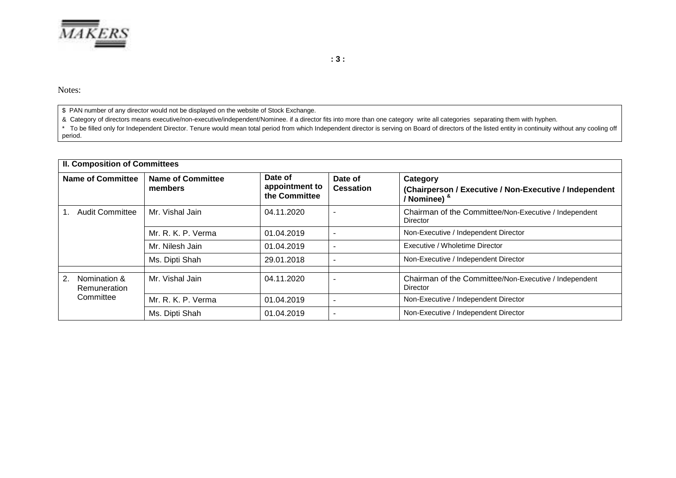

**: 3 :**

Notes:

\$ PAN number of any director would not be displayed on the website of Stock Exchange.

& Category of directors means executive/non-executive/independent/Nominee. if a director fits into more than one category write all categories separating them with hyphen.

\* To be filled only for Independent Director. Tenure would mean total period from which Independent director is serving on Board of directors of the listed entity in continuity without any cooling off period.

|                          | <b>II. Composition of Committees</b> |                                     |                                            |                             |                                                                                      |  |  |
|--------------------------|--------------------------------------|-------------------------------------|--------------------------------------------|-----------------------------|--------------------------------------------------------------------------------------|--|--|
| <b>Name of Committee</b> |                                      | <b>Name of Committee</b><br>members | Date of<br>appointment to<br>the Committee | Date of<br><b>Cessation</b> | Category<br>(Chairperson / Executive / Non-Executive / Independent<br>/ Nominee) $8$ |  |  |
|                          | <b>Audit Committee</b>               | Mr. Vishal Jain                     | 04.11.2020                                 |                             | Chairman of the Committee/Non-Executive / Independent<br>Director                    |  |  |
|                          |                                      | Mr. R. K. P. Verma                  | 01.04.2019                                 | $\overline{\phantom{a}}$    | Non-Executive / Independent Director                                                 |  |  |
|                          |                                      | Mr. Nilesh Jain                     | 01.04.2019                                 | $\overline{\phantom{a}}$    | Executive / Wholetime Director                                                       |  |  |
|                          |                                      | Ms. Dipti Shah                      | 29.01.2018                                 | $\overline{\phantom{a}}$    | Non-Executive / Independent Director                                                 |  |  |
| 2.                       | Nomination &<br>Remuneration         | Mr. Vishal Jain                     | 04.11.2020                                 |                             | Chairman of the Committee/Non-Executive / Independent<br>Director                    |  |  |
|                          | Committee                            | Mr. R. K. P. Verma                  | 01.04.2019                                 |                             | Non-Executive / Independent Director                                                 |  |  |
|                          |                                      | Ms. Dipti Shah                      | 01.04.2019                                 |                             | Non-Executive / Independent Director                                                 |  |  |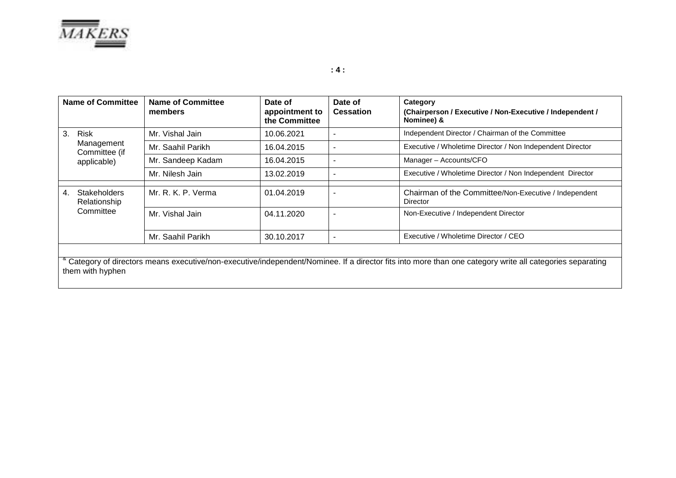

| <b>Name of Committee</b>                                                                                                                                                    |                                     | <b>Name of Committee</b><br>Date of<br>members<br>appointment to<br>the Committee |            | Date of<br><b>Cessation</b> | Category<br>(Chairperson / Executive / Non-Executive / Independent /<br>Nominee) & |  |
|-----------------------------------------------------------------------------------------------------------------------------------------------------------------------------|-------------------------------------|-----------------------------------------------------------------------------------|------------|-----------------------------|------------------------------------------------------------------------------------|--|
| 3.                                                                                                                                                                          | <b>Risk</b>                         | Mr. Vishal Jain                                                                   | 10.06.2021 | $\overline{\phantom{a}}$    | Independent Director / Chairman of the Committee                                   |  |
|                                                                                                                                                                             | Management<br>Committee (if         | Mr. Saahil Parikh                                                                 | 16.04.2015 | -                           | Executive / Wholetime Director / Non Independent Director                          |  |
|                                                                                                                                                                             | applicable)                         | Mr. Sandeep Kadam                                                                 | 16.04.2015 | $\blacksquare$              | Manager - Accounts/CFO                                                             |  |
|                                                                                                                                                                             |                                     | Mr. Nilesh Jain                                                                   | 13.02.2019 | $\overline{\phantom{a}}$    | Executive / Wholetime Director / Non Independent Director                          |  |
| $4_{\cdot}$                                                                                                                                                                 | <b>Stakeholders</b><br>Relationship | Mr. R. K. P. Verma                                                                | 01.04.2019 |                             | Chairman of the Committee/Non-Executive / Independent<br>Director                  |  |
|                                                                                                                                                                             | Committee                           | Mr. Vishal Jain                                                                   | 04.11.2020 |                             | Non-Executive / Independent Director                                               |  |
|                                                                                                                                                                             |                                     | Mr. Saahil Parikh                                                                 | 30.10.2017 | $\blacksquare$              | Executive / Wholetime Director / CEO                                               |  |
| Category of directors means executive/non-executive/independent/Nominee. If a director fits into more than one category write all categories separating<br>them with hyphen |                                     |                                                                                   |            |                             |                                                                                    |  |

**: 4 :**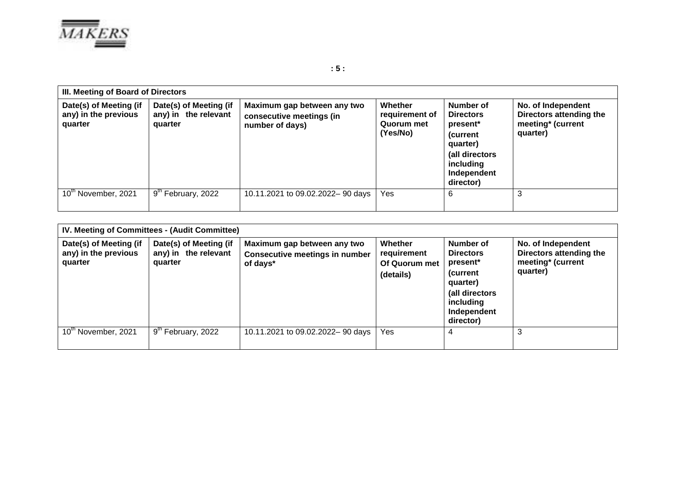

**Date(s) of Meeting (if any) in the previous** 

**quarter**

**III. Meeting of Board of Directors Date(s) of Meeting (if any) in the relevant quarter Maximum gap between any two consecutive meetings (in number of days) Whether requirement of Quorum met Number of Directors present\***

**(Yes/No)**

**(current** 

**No. of Independent Directors attending the meeting\* (current** 

**quarter)**

|                          |                                  |                                  |     | quarter)<br>(all directors<br>including<br>Independent<br>director) |  |
|--------------------------|----------------------------------|----------------------------------|-----|---------------------------------------------------------------------|--|
| $10^{th}$ November, 2021 | l 9 <sup>th</sup> February, 2022 | 10.11.2021 to 09.02.2022-90 days | Yes | 6                                                                   |  |
|                          |                                  |                                  |     |                                                                     |  |

| IV. Meeting of Committees - (Audit Committee)             |                                                           |                                                                                  |                                                      |                                                                                                                               |                                                                                |  |  |
|-----------------------------------------------------------|-----------------------------------------------------------|----------------------------------------------------------------------------------|------------------------------------------------------|-------------------------------------------------------------------------------------------------------------------------------|--------------------------------------------------------------------------------|--|--|
| Date(s) of Meeting (if<br>any) in the previous<br>quarter | Date(s) of Meeting (if<br>any) in the relevant<br>quarter | Maximum gap between any two<br><b>Consecutive meetings in number</b><br>of days* | Whether<br>requirement<br>Of Quorum met<br>(details) | Number of<br><b>Directors</b><br>present*<br>(current)<br>quarter)<br>(all directors<br>including<br>Independent<br>director) | No. of Independent<br>Directors attending the<br>meeting* (current<br>quarter) |  |  |
| 10 <sup>th</sup> November, 2021                           | 9 <sup>th</sup> February, 2022                            | 10.11.2021 to 09.02.2022-90 days                                                 | Yes                                                  | 4                                                                                                                             | 3                                                                              |  |  |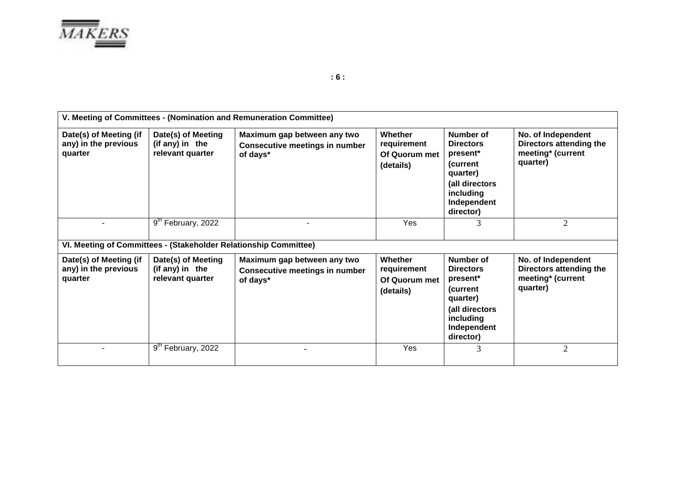

|                                                                  | V. Meeting of Committees - (Nomination and Remuneration Committee) |                                                                                  |                                                             |                                                                                                                              |                                                                                |  |  |  |
|------------------------------------------------------------------|--------------------------------------------------------------------|----------------------------------------------------------------------------------|-------------------------------------------------------------|------------------------------------------------------------------------------------------------------------------------------|--------------------------------------------------------------------------------|--|--|--|
| Date(s) of Meeting (if<br>any) in the previous<br>quarter        | Date(s) of Meeting<br>(if any) in the<br>relevant quarter          | Maximum gap between any two<br><b>Consecutive meetings in number</b><br>of days* | Whether<br>requirement<br>Of Quorum met<br>(details)        | Number of<br><b>Directors</b><br>present*<br>(current<br>quarter)<br>(all directors<br>including<br>Independent<br>director) | No. of Independent<br>Directors attending the<br>meeting* (current<br>quarter) |  |  |  |
|                                                                  | 9th February, 2022                                                 |                                                                                  | Yes                                                         | 3                                                                                                                            | 2                                                                              |  |  |  |
| VI. Meeting of Committees - (Stakeholder Relationship Committee) |                                                                    |                                                                                  |                                                             |                                                                                                                              |                                                                                |  |  |  |
| Date(s) of Meeting (if<br>any) in the previous<br>quarter        | Date(s) of Meeting<br>(if any) in the<br>relevant quarter          | Maximum gap between any two<br><b>Consecutive meetings in number</b><br>of days* | <b>Whether</b><br>requirement<br>Of Quorum met<br>(details) | Number of<br><b>Directors</b><br>present*<br>(current<br>quarter)<br>(all directors<br>including<br>Independent<br>director) | No. of Independent<br>Directors attending the<br>meeting* (current<br>quarter) |  |  |  |
|                                                                  | 9 <sup>th</sup> February, 2022                                     |                                                                                  | Yes                                                         | 3                                                                                                                            | $\overline{2}$                                                                 |  |  |  |

**: 6 :**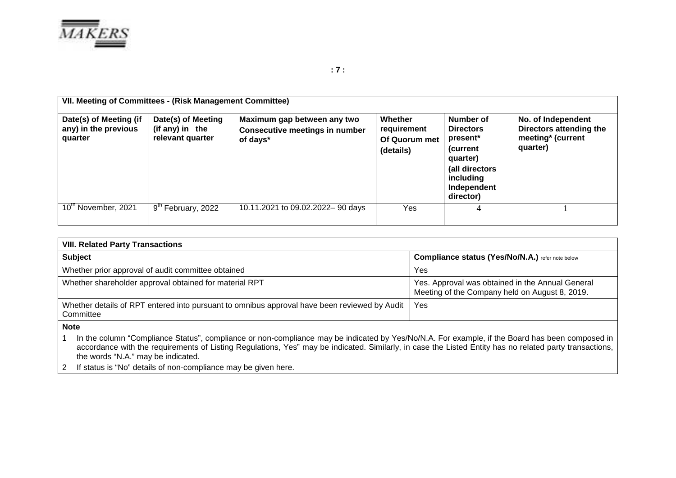

|                                                           | VII. Meeting of Committees - (Risk Management Committee)  |                                                                                  |                                                      |                                                                                                                               |                                                                                |  |  |  |
|-----------------------------------------------------------|-----------------------------------------------------------|----------------------------------------------------------------------------------|------------------------------------------------------|-------------------------------------------------------------------------------------------------------------------------------|--------------------------------------------------------------------------------|--|--|--|
| Date(s) of Meeting (if<br>any) in the previous<br>quarter | Date(s) of Meeting<br>(if any) in the<br>relevant quarter | Maximum gap between any two<br><b>Consecutive meetings in number</b><br>of days* | Whether<br>requirement<br>Of Quorum met<br>(details) | Number of<br><b>Directors</b><br>present*<br>(current)<br>quarter)<br>(all directors<br>including<br>Independent<br>director) | No. of Independent<br>Directors attending the<br>meeting* (current<br>quarter) |  |  |  |
| 10 <sup>th</sup> November, 2021                           | 9 <sup>th</sup> February, 2022                            | 10.11.2021 to 09.02.2022-90 days                                                 | Yes                                                  | 4                                                                                                                             |                                                                                |  |  |  |

| <b>VIII. Related Party Transactions</b>                                                                                                                         |                                                                                                    |
|-----------------------------------------------------------------------------------------------------------------------------------------------------------------|----------------------------------------------------------------------------------------------------|
| <b>Subject</b>                                                                                                                                                  | Compliance status (Yes/No/N.A.) refer note below                                                   |
| Whether prior approval of audit committee obtained                                                                                                              | Yes                                                                                                |
| Whether shareholder approval obtained for material RPT                                                                                                          | Yes. Approval was obtained in the Annual General<br>Meeting of the Company held on August 8, 2019. |
| Whether details of RPT entered into pursuant to omnibus approval have been reviewed by Audit<br>Committee                                                       | Yes                                                                                                |
| <b>Note</b><br>In the column "Compliance Status", compliance or non-compliance may be indicated by Vec/No/N A. For example, if the Board bas been composed in I |                                                                                                    |

1 In the column "Compliance Status", compliance or non-compliance may be indicated by Yes/No/N.A. For example, if the Board has been composed in accordance with the requirements of Listing Regulations, Yes" may be indicated. Similarly, in case the Listed Entity has no related party transactions, the words "N.A." may be indicated.

2 If status is "No" details of non-compliance may be given here.

**: 7 :**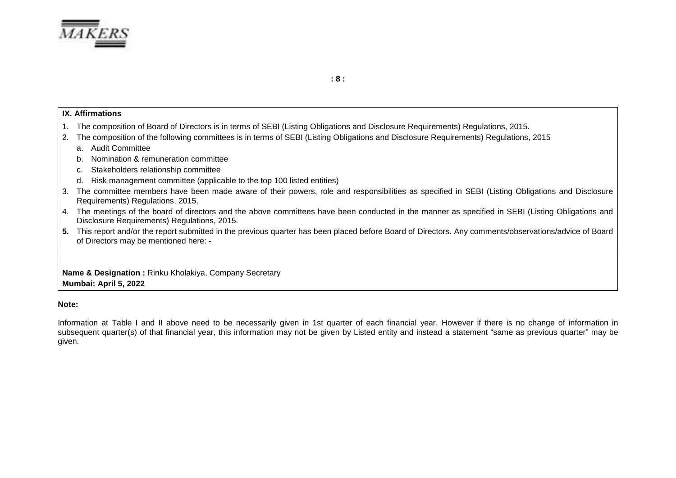

**: 8 :**

|    | <b>IX.</b> Affirmations                                                                                                                                                                           |  |  |  |  |  |  |
|----|---------------------------------------------------------------------------------------------------------------------------------------------------------------------------------------------------|--|--|--|--|--|--|
|    | 1. The composition of Board of Directors is in terms of SEBI (Listing Obligations and Disclosure Requirements) Regulations, 2015.                                                                 |  |  |  |  |  |  |
| 2. | The composition of the following committees is in terms of SEBI (Listing Obligations and Disclosure Requirements) Regulations, 2015                                                               |  |  |  |  |  |  |
|    | Audit Committee<br>a.                                                                                                                                                                             |  |  |  |  |  |  |
|    | Nomination & remuneration committee<br>b.                                                                                                                                                         |  |  |  |  |  |  |
|    | Stakeholders relationship committee<br>C.                                                                                                                                                         |  |  |  |  |  |  |
|    | Risk management committee (applicable to the top 100 listed entities)<br>d.                                                                                                                       |  |  |  |  |  |  |
|    | 3. The committee members have been made aware of their powers, role and responsibilities as specified in SEBI (Listing Obligations and Disclosure<br>Requirements) Regulations, 2015.             |  |  |  |  |  |  |
|    | 4. The meetings of the board of directors and the above committees have been conducted in the manner as specified in SEBI (Listing Obligations and<br>Disclosure Requirements) Regulations, 2015. |  |  |  |  |  |  |
|    | 5. This report and/or the report submitted in the previous quarter has been placed before Board of Directors. Any comments/observations/advice of Board<br>of Directors may be mentioned here: -  |  |  |  |  |  |  |
|    |                                                                                                                                                                                                   |  |  |  |  |  |  |
|    | Name & Designation: Rinku Kholakiya, Company Secretary<br>Mumbai: April 5, 2022                                                                                                                   |  |  |  |  |  |  |

#### **Note:**

Information at Table I and II above need to be necessarily given in 1st quarter of each financial year. However if there is no change of information in subsequent quarter(s) of that financial year, this information may not be given by Listed entity and instead a statement "same as previous quarter" may be given.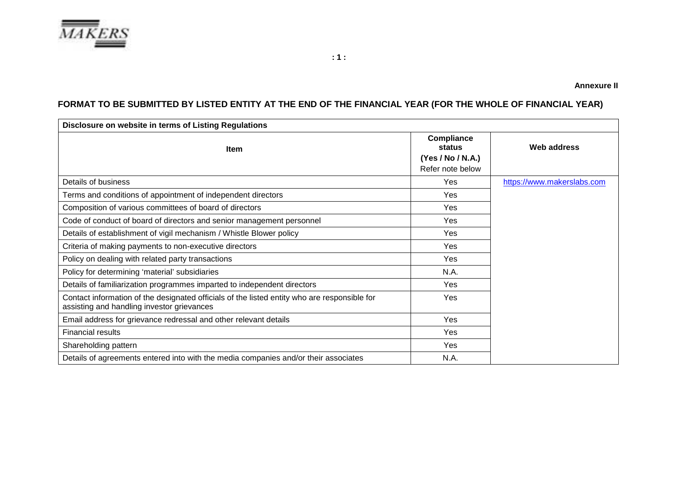

# **FORMAT TO BE SUBMITTED BY LISTED ENTITY AT THE END OF THE FINANCIAL YEAR (FOR THE WHOLE OF FINANCIAL YEAR)**

| Disclosure on website in terms of Listing Regulations                                                                                      |                                                               |                            |
|--------------------------------------------------------------------------------------------------------------------------------------------|---------------------------------------------------------------|----------------------------|
| Item                                                                                                                                       | Compliance<br>status<br>(Yes / No / N.A.)<br>Refer note below | Web address                |
| Details of business                                                                                                                        | Yes                                                           | https://www.makerslabs.com |
| Terms and conditions of appointment of independent directors                                                                               | Yes                                                           |                            |
| Composition of various committees of board of directors                                                                                    | Yes                                                           |                            |
| Code of conduct of board of directors and senior management personnel                                                                      | Yes                                                           |                            |
| Details of establishment of vigil mechanism / Whistle Blower policy                                                                        | Yes                                                           |                            |
| Criteria of making payments to non-executive directors                                                                                     | Yes                                                           |                            |
| Policy on dealing with related party transactions                                                                                          | Yes                                                           |                            |
| Policy for determining 'material' subsidiaries                                                                                             | N.A.                                                          |                            |
| Details of familiarization programmes imparted to independent directors                                                                    | Yes                                                           |                            |
| Contact information of the designated officials of the listed entity who are responsible for<br>assisting and handling investor grievances | Yes                                                           |                            |
| Email address for grievance redressal and other relevant details                                                                           | Yes                                                           |                            |
| <b>Financial results</b>                                                                                                                   | Yes                                                           |                            |
| Shareholding pattern                                                                                                                       | Yes                                                           |                            |
| Details of agreements entered into with the media companies and/or their associates                                                        | N.A.                                                          |                            |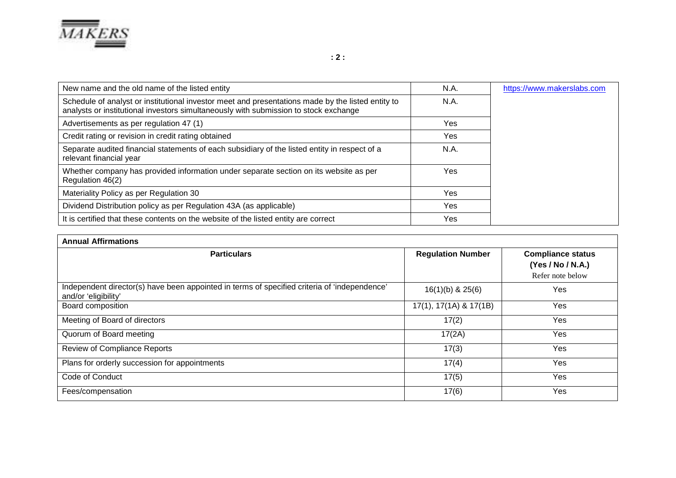

| New name and the old name of the listed entity                                                                                                                                            | N.A. | https://www.makerslabs.com |
|-------------------------------------------------------------------------------------------------------------------------------------------------------------------------------------------|------|----------------------------|
| Schedule of analyst or institutional investor meet and presentations made by the listed entity to<br>analysts or institutional investors simultaneously with submission to stock exchange | N.A. |                            |
| Advertisements as per regulation 47 (1)                                                                                                                                                   | Yes  |                            |
| Credit rating or revision in credit rating obtained                                                                                                                                       | Yes  |                            |
| Separate audited financial statements of each subsidiary of the listed entity in respect of a<br>relevant financial year                                                                  | N.A. |                            |
| Whether company has provided information under separate section on its website as per<br>Regulation 46(2)                                                                                 | Yes  |                            |
| Materiality Policy as per Regulation 30                                                                                                                                                   | Yes  |                            |
| Dividend Distribution policy as per Regulation 43A (as applicable)                                                                                                                        | Yes  |                            |
| It is certified that these contents on the website of the listed entity are correct                                                                                                       | Yes  |                            |

| <b>Annual Affirmations</b>                                                                                           |                          |                                                                   |  |  |  |
|----------------------------------------------------------------------------------------------------------------------|--------------------------|-------------------------------------------------------------------|--|--|--|
| <b>Particulars</b>                                                                                                   | <b>Regulation Number</b> | <b>Compliance status</b><br>(Yes / No / N.A.)<br>Refer note below |  |  |  |
| Independent director(s) have been appointed in terms of specified criteria of 'independence'<br>and/or 'eligibility' | $16(1)(b)$ & $25(6)$     | Yes                                                               |  |  |  |
| Board composition                                                                                                    | 17(1), 17(1A) & 17(1B)   | Yes                                                               |  |  |  |
| Meeting of Board of directors                                                                                        | 17(2)                    | Yes                                                               |  |  |  |
| Quorum of Board meeting                                                                                              | 17(2A)                   | Yes                                                               |  |  |  |
| Review of Compliance Reports                                                                                         | 17(3)                    | Yes                                                               |  |  |  |
| Plans for orderly succession for appointments                                                                        | 17(4)                    | Yes                                                               |  |  |  |
| Code of Conduct                                                                                                      | 17(5)                    | Yes                                                               |  |  |  |
| Fees/compensation                                                                                                    | 17(6)                    | Yes                                                               |  |  |  |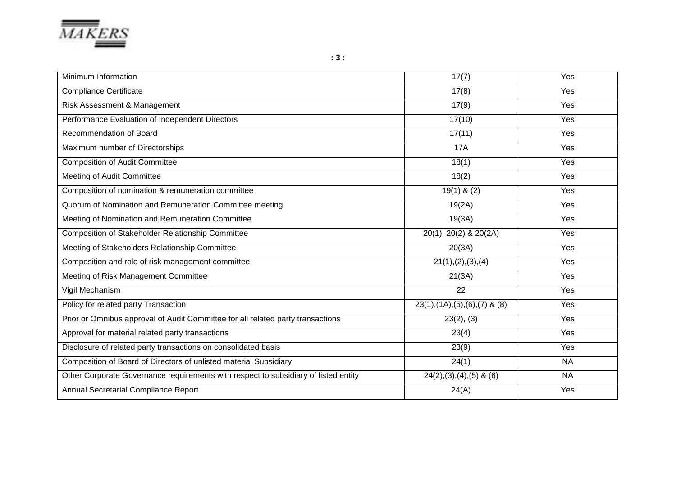

| Minimum Information                                                                 | 17(7)                              | Yes       |
|-------------------------------------------------------------------------------------|------------------------------------|-----------|
| <b>Compliance Certificate</b>                                                       | 17(8)                              | Yes       |
| Risk Assessment & Management                                                        | 17(9)                              | Yes       |
| Performance Evaluation of Independent Directors                                     | 17(10)                             | Yes       |
| Recommendation of Board                                                             | 17(11)                             | Yes       |
| Maximum number of Directorships                                                     | <b>17A</b>                         | Yes       |
| <b>Composition of Audit Committee</b>                                               | $\overline{18(1)}$                 | Yes       |
| Meeting of Audit Committee                                                          | 18(2)                              | Yes       |
| Composition of nomination & remuneration committee                                  | $19(1)$ & $(2)$                    | Yes       |
| Quorum of Nomination and Remuneration Committee meeting                             | 19(2A)                             | Yes       |
| Meeting of Nomination and Remuneration Committee                                    | 19(3A)                             | Yes       |
| Composition of Stakeholder Relationship Committee                                   | 20(1), 20(2) & 20(2A)              | Yes       |
| Meeting of Stakeholders Relationship Committee                                      | 20(3A)                             | Yes       |
| Composition and role of risk management committee                                   | 21(1), (2), (3), (4)               | Yes       |
| Meeting of Risk Management Committee                                                | 21(3A)                             | Yes       |
| Vigil Mechanism                                                                     | 22                                 | Yes       |
| Policy for related party Transaction                                                | $23(1), (1A), (5), (6), (7)$ & (8) | Yes       |
| Prior or Omnibus approval of Audit Committee for all related party transactions     | 23(2), (3)                         | Yes       |
| Approval for material related party transactions                                    | 23(4)                              | Yes       |
| Disclosure of related party transactions on consolidated basis                      | 23(9)                              | Yes       |
| Composition of Board of Directors of unlisted material Subsidiary                   | 24(1)                              | <b>NA</b> |
| Other Corporate Governance requirements with respect to subsidiary of listed entity | $24(2), (3), (4), (5)$ & $(6)$     | <b>NA</b> |
| Annual Secretarial Compliance Report                                                | 24(A)                              | Yes       |

**: 3 :**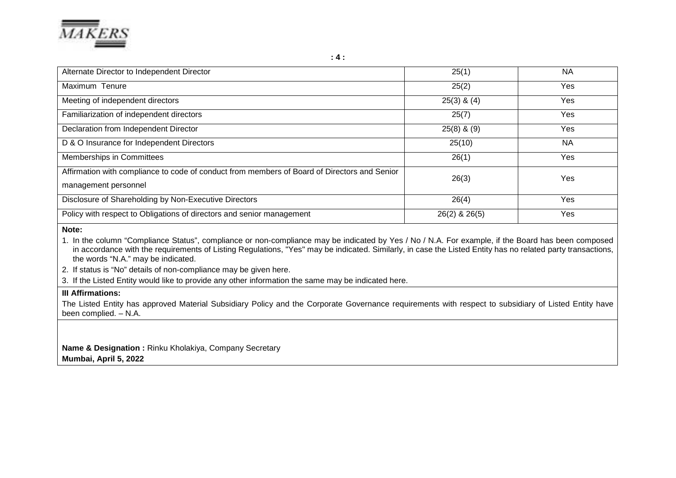

| Alternate Director to Independent Director                                                                           | 25(1)           | <b>NA</b> |
|----------------------------------------------------------------------------------------------------------------------|-----------------|-----------|
| Maximum Tenure                                                                                                       | 25(2)           | Yes       |
| Meeting of independent directors                                                                                     | $25(3)$ & $(4)$ | Yes       |
| Familiarization of independent directors                                                                             | 25(7)           | Yes       |
| Declaration from Independent Director                                                                                | $25(8)$ & $(9)$ | Yes       |
| D & O Insurance for Independent Directors                                                                            | 25(10)          | <b>NA</b> |
| Memberships in Committees                                                                                            | 26(1)           | Yes       |
| Affirmation with compliance to code of conduct from members of Board of Directors and Senior<br>management personnel | 26(3)           | Yes       |
| Disclosure of Shareholding by Non-Executive Directors                                                                | 26(4)           | Yes       |
| Policy with respect to Obligations of directors and senior management                                                | 26(2) & 26(5)   | Yes       |

**Note:** 

1. In the column "Compliance Status", compliance or non-compliance may be indicated by Yes / No / N.A. For example, if the Board has been composed in accordance with the requirements of Listing Regulations, "Yes" may be indicated. Similarly, in case the Listed Entity has no related party transactions, the words "N.A." may be indicated.

2. If status is "No" details of non-compliance may be given here.

3. If the Listed Entity would like to provide any other information the same may be indicated here.

## **III Affirmations:**

The Listed Entity has approved Material Subsidiary Policy and the Corporate Governance requirements with respect to subsidiary of Listed Entity have been complied. – N.A.

**Name & Designation :** Rinku Kholakiya, Company Secretary **Mumbai, April 5, 2022**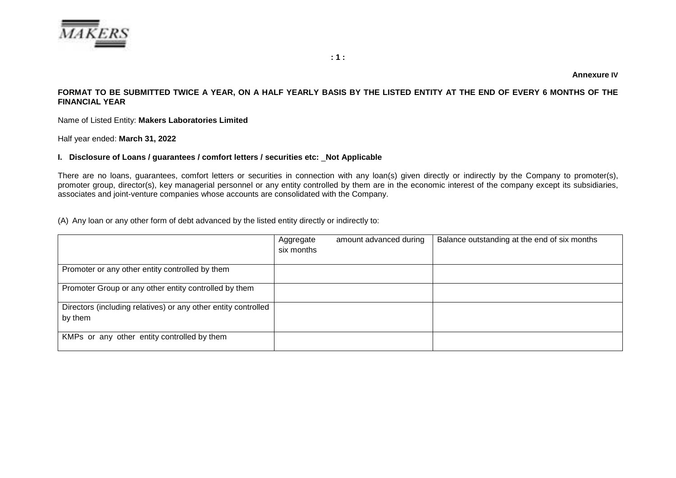

#### **Annexure IV**

#### **FORMAT TO BE SUBMITTED TWICE A YEAR, ON A HALF YEARLY BASIS BY THE LISTED ENTITY AT THE END OF EVERY 6 MONTHS OF THE FINANCIAL YEAR**

Name of Listed Entity: **Makers Laboratories Limited**

Half year ended: **March 31, 2022**

#### **I. Disclosure of Loans / guarantees / comfort letters / securities etc:** \_**Not Applicable**

There are no loans, guarantees, comfort letters or securities in connection with any loan(s) given directly or indirectly by the Company to promoter(s), promoter group, director(s), key managerial personnel or any entity controlled by them are in the economic interest of the company except its subsidiaries, associates and joint-venture companies whose accounts are consolidated with the Company.

(A) Any loan or any other form of debt advanced by the listed entity directly or indirectly to:

|                                                                           | Aggregate<br>six months | amount advanced during | Balance outstanding at the end of six months |
|---------------------------------------------------------------------------|-------------------------|------------------------|----------------------------------------------|
| Promoter or any other entity controlled by them                           |                         |                        |                                              |
| Promoter Group or any other entity controlled by them                     |                         |                        |                                              |
| Directors (including relatives) or any other entity controlled<br>by them |                         |                        |                                              |
| KMPs or any other entity controlled by them                               |                         |                        |                                              |